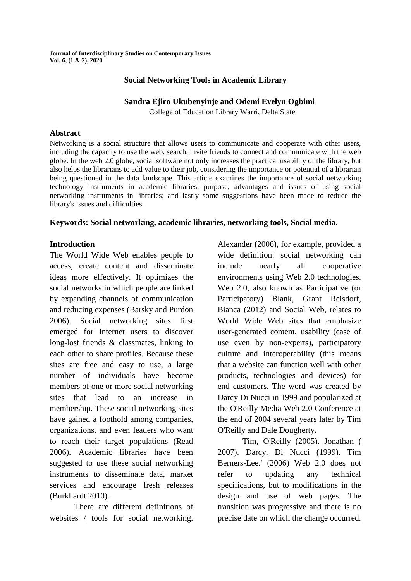**Journal of Interdisciplinary Studies on Contemporary Issues Vol. 6, (1 & 2), 2020**

### **Social Networking Tools in Academic Library**

### **Sandra Ejiro Ukubenyinje and Odemi Evelyn Ogbimi**

College of Education Library Warri, Delta State

#### **Abstract**

Networking is a social structure that allows users to communicate and cooperate with other users, including the capacity to use the web, search, invite friends to connect and communicate with the web globe. In the web 2.0 globe, social software not only increases the practical usability of the library, but also helps the librarians to add value to their job, considering the importance or potential of a librarian being questioned in the data landscape. This article examines the importance of social networking technology instruments in academic libraries, purpose, advantages and issues of using social networking instruments in libraries; and lastly some suggestions have been made to reduce the library's issues and difficulties.

### **Keywords: Social networking, academic libraries, networking tools, Social media.**

### **Introduction**

The World Wide Web enables people to access, create content and disseminate ideas more effectively. It optimizes the social networks in which people are linked by expanding channels of communication and reducing expenses (Barsky and Purdon 2006). Social networking sites first emerged for Internet users to discover long-lost friends & classmates, linking to each other to share profiles. Because these sites are free and easy to use, a large number of individuals have become members of one or more social networking sites that lead to an increase in membership. These social networking sites have gained a foothold among companies, organizations, and even leaders who want to reach their target populations (Read 2006). Academic libraries have been suggested to use these social networking instruments to disseminate data, market services and encourage fresh releases (Burkhardt 2010).

There are different definitions of websites / tools for social networking. Alexander (2006), for example, provided a wide definition: social networking can include nearly all cooperative environments using Web 2.0 technologies. Web 2.0, also known as Participative (or Participatory) Blank, Grant Reisdorf, Bianca (2012) and Social Web, relates to World Wide Web sites that emphasize user-generated content, usability (ease of use even by non-experts), participatory culture and interoperability (this means that a website can function well with other products, technologies and devices) for end customers. The word was created by Darcy Di Nucci in 1999 and popularized at the O'Reilly Media Web 2.0 Conference at the end of 2004 several years later by Tim O'Reilly and Dale Dougherty.

Tim, O'Reilly (2005). Jonathan ( 2007). Darcy, Di Nucci (1999). Tim Berners-Lee.' (2006) Web 2.0 does not refer to updating any technical specifications, but to modifications in the design and use of web pages. The transition was progressive and there is no precise date on which the change occurred.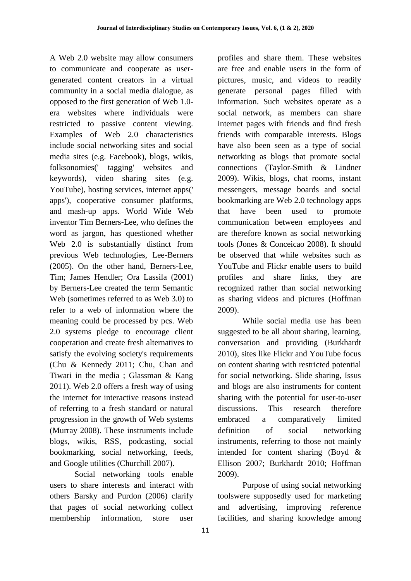A Web 2.0 website may allow consumers to communicate and cooperate as usergenerated content creators in a virtual community in a social media dialogue, as opposed to the first generation of Web 1.0 era websites where individuals were restricted to passive content viewing. Examples of Web 2.0 characteristics include social networking sites and social media sites (e.g. Facebook), blogs, wikis, folksonomies(' tagging' websites and keywords), video sharing sites (e.g. YouTube), hosting services, internet apps(' apps'), cooperative consumer platforms, and mash-up apps. World Wide Web inventor Tim Berners-Lee, who defines the word as jargon, has questioned whether Web 2.0 is substantially distinct from previous Web technologies, Lee-Berners (2005). On the other hand, Berners-Lee, Tim; James Hendler; Ora Lassila (2001) by Berners-Lee created the term Semantic Web (sometimes referred to as Web 3.0) to refer to a web of information where the meaning could be processed by pcs. Web 2.0 systems pledge to encourage client cooperation and create fresh alternatives to satisfy the evolving society's requirements (Chu & Kennedy 2011; Chu, Chan and Tiwari in the media ; Glassman & Kang 2011). Web 2.0 offers a fresh way of using the internet for interactive reasons instead of referring to a fresh standard or natural progression in the growth of Web systems (Murray 2008). These instruments include blogs, wikis, RSS, podcasting, social bookmarking, social networking, feeds, and Google utilities (Churchill 2007).

Social networking tools enable users to share interests and interact with others Barsky and Purdon (2006) clarify that pages of social networking collect membership information, store user

profiles and share them. These websites are free and enable users in the form of pictures, music, and videos to readily generate personal pages filled with information. Such websites operate as a social network, as members can share internet pages with friends and find fresh friends with comparable interests. Blogs have also been seen as a type of social networking as blogs that promote social connections (Taylor-Smith & Lindner 2009). Wikis, blogs, chat rooms, instant messengers, message boards and social bookmarking are Web 2.0 technology apps that have been used to promote communication between employees and are therefore known as social networking tools (Jones & Conceicao 2008). It should be observed that while websites such as YouTube and Flickr enable users to build profiles and share links, they are recognized rather than social networking as sharing videos and pictures (Hoffman 2009).

While social media use has been suggested to be all about sharing, learning, conversation and providing (Burkhardt 2010), sites like Flickr and YouTube focus on content sharing with restricted potential for social networking. Slide sharing, Issus and blogs are also instruments for content sharing with the potential for user-to-user discussions. This research therefore embraced a comparatively limited definition of social networking instruments, referring to those not mainly intended for content sharing (Boyd & Ellison 2007; Burkhardt 2010; Hoffman 2009).

Purpose of using social networking toolswere supposedly used for marketing and advertising, improving reference facilities, and sharing knowledge among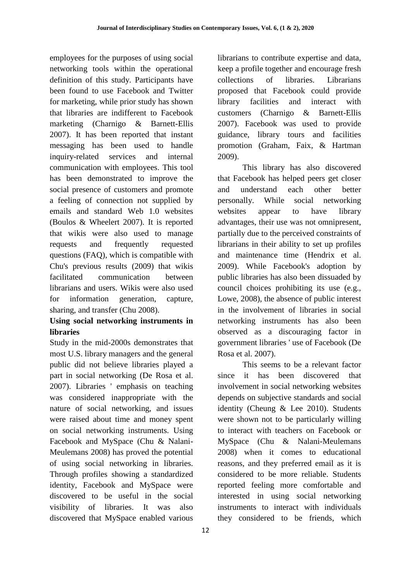employees for the purposes of using social networking tools within the operational definition of this study. Participants have been found to use Facebook and Twitter for marketing, while prior study has shown that libraries are indifferent to Facebook marketing (Charnigo & Barnett-Ellis 2007). It has been reported that instant messaging has been used to handle inquiry-related services and internal communication with employees. This tool has been demonstrated to improve the social presence of customers and promote a feeling of connection not supplied by emails and standard Web 1.0 websites (Boulos & Wheelert 2007). It is reported that wikis were also used to manage requests and frequently requested questions (FAQ), which is compatible with Chu's previous results (2009) that wikis facilitated communication between librarians and users. Wikis were also used for information generation, capture, sharing, and transfer (Chu 2008).

## **Using social networking instruments in libraries**

Study in the mid-2000s demonstrates that most U.S. library managers and the general public did not believe libraries played a part in social networking (De Rosa et al. 2007). Libraries ' emphasis on teaching was considered inappropriate with the nature of social networking, and issues were raised about time and money spent on social networking instruments. Using Facebook and MySpace (Chu & Nalani-Meulemans 2008) has proved the potential of using social networking in libraries. Through profiles showing a standardized identity, Facebook and MySpace were discovered to be useful in the social visibility of libraries. It was also discovered that MySpace enabled various

12

librarians to contribute expertise and data, keep a profile together and encourage fresh collections of libraries. Librarians proposed that Facebook could provide library facilities and interact with customers (Charnigo & Barnett-Ellis 2007). Facebook was used to provide guidance, library tours and facilities promotion (Graham, Faix, & Hartman 2009).

This library has also discovered that Facebook has helped peers get closer and understand each other better personally. While social networking websites appear to have library advantages, their use was not omnipresent, partially due to the perceived constraints of librarians in their ability to set up profiles and maintenance time (Hendrix et al. 2009). While Facebook's adoption by public libraries has also been dissuaded by council choices prohibiting its use (e.g., Lowe, 2008), the absence of public interest in the involvement of libraries in social networking instruments has also been observed as a discouraging factor in government libraries ' use of Facebook (De Rosa et al. 2007).

This seems to be a relevant factor since it has been discovered that involvement in social networking websites depends on subjective standards and social identity (Cheung & Lee 2010). Students were shown not to be particularly willing to interact with teachers on Facebook or MySpace (Chu & Nalani-Meulemans 2008) when it comes to educational reasons, and they preferred email as it is considered to be more reliable. Students reported feeling more comfortable and interested in using social networking instruments to interact with individuals they considered to be friends, which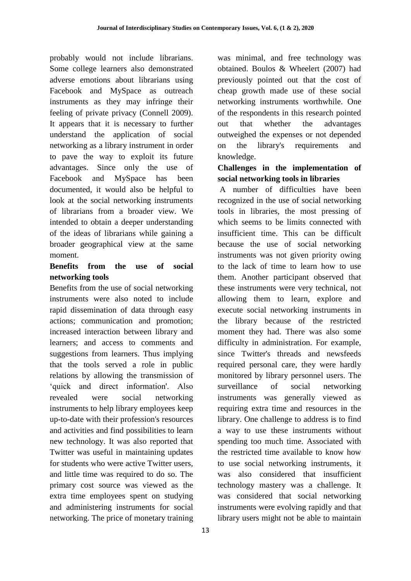probably would not include librarians. Some college learners also demonstrated adverse emotions about librarians using Facebook and MySpace as outreach instruments as they may infringe their feeling of private privacy (Connell 2009). It appears that it is necessary to further understand the application of social networking as a library instrument in order to pave the way to exploit its future advantages. Since only the use of Facebook and MySpace has been documented, it would also be helpful to look at the social networking instruments of librarians from a broader view. We intended to obtain a deeper understanding of the ideas of librarians while gaining a broader geographical view at the same moment.

# **Benefits from the use of social networking tools**

Benefits from the use of social networking instruments were also noted to include rapid dissemination of data through easy actions; communication and promotion; increased interaction between library and learners; and access to comments and suggestions from learners. Thus implying that the tools served a role in public relations by allowing the transmission of 'quick and direct information'. Also revealed were social networking instruments to help library employees keep up-to-date with their profession's resources and activities and find possibilities to learn new technology. It was also reported that Twitter was useful in maintaining updates for students who were active Twitter users, and little time was required to do so. The primary cost source was viewed as the extra time employees spent on studying and administering instruments for social networking. The price of monetary training was minimal, and free technology was obtained. Boulos & Wheelert (2007) had previously pointed out that the cost of cheap growth made use of these social networking instruments worthwhile. One of the respondents in this research pointed out that whether the advantages outweighed the expenses or not depended on the library's requirements and knowledge.

# **Challenges in the implementation of social networking tools in libraries**

A number of difficulties have been recognized in the use of social networking tools in libraries, the most pressing of which seems to be limits connected with insufficient time. This can be difficult because the use of social networking instruments was not given priority owing to the lack of time to learn how to use them. Another participant observed that these instruments were very technical, not allowing them to learn, explore and execute social networking instruments in the library because of the restricted moment they had. There was also some difficulty in administration. For example, since Twitter's threads and newsfeeds required personal care, they were hardly monitored by library personnel users. The surveillance of social networking instruments was generally viewed as requiring extra time and resources in the library. One challenge to address is to find a way to use these instruments without spending too much time. Associated with the restricted time available to know how to use social networking instruments, it was also considered that insufficient technology mastery was a challenge. It was considered that social networking instruments were evolving rapidly and that library users might not be able to maintain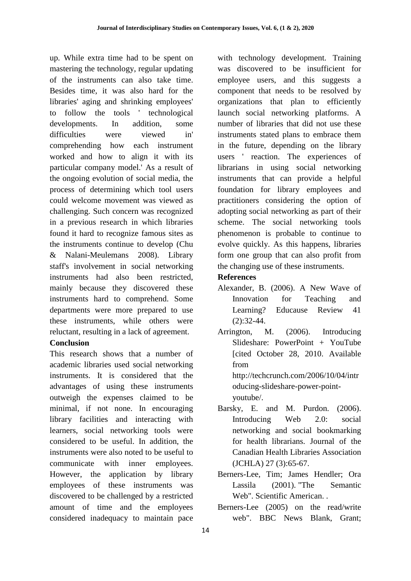up. While extra time had to be spent on mastering the technology, regular updating of the instruments can also take time. Besides time, it was also hard for the libraries' aging and shrinking employees' to follow the tools ' technological developments. In addition, some difficulties were viewed in' comprehending how each instrument worked and how to align it with its particular company model.' As a result of the ongoing evolution of social media, the process of determining which tool users could welcome movement was viewed as challenging. Such concern was recognized in a previous research in which libraries found it hard to recognize famous sites as the instruments continue to develop (Chu & Nalani-Meulemans 2008). Library staff's involvement in social networking instruments had also been restricted, mainly because they discovered these instruments hard to comprehend. Some departments were more prepared to use these instruments, while others were reluctant, resulting in a lack of agreement.

### **Conclusion**

This research shows that a number of academic libraries used social networking instruments. It is considered that the advantages of using these instruments outweigh the expenses claimed to be minimal, if not none. In encouraging library facilities and interacting with learners, social networking tools were considered to be useful. In addition, the instruments were also noted to be useful to communicate with inner employees. However, the application by library employees of these instruments was discovered to be challenged by a restricted amount of time and the employees considered inadequacy to maintain pace

with technology development. Training was discovered to be insufficient for employee users, and this suggests a component that needs to be resolved by organizations that plan to efficiently launch social networking platforms. A number of libraries that did not use these instruments stated plans to embrace them in the future, depending on the library users ' reaction. The experiences of librarians in using social networking instruments that can provide a helpful foundation for library employees and practitioners considering the option of adopting social networking as part of their scheme. The social networking tools phenomenon is probable to continue to evolve quickly. As this happens, libraries form one group that can also profit from the changing use of these instruments.

## **References**

- Alexander, B. (2006). A New Wave of Innovation for Teaching and Learning? Educause Review 41 (2):32-44.
- Arrington, M. (2006). Introducing Slideshare: PowerPoint + YouTube [cited October 28, 2010. Available from http://techcrunch.com/2006/10/04/intr oducing-slideshare-power-pointyoutube/.
- Barsky, E. and M. Purdon. (2006). Introducing Web 2.0: social networking and social bookmarking for health librarians. Journal of the Canadian Health Libraries Association (JCHLA) 27 (3):65-67.
- Berners-Lee, Tim; James Hendler; Ora Lassila (2001). "The Semantic Web". Scientific American. .
- Berners-Lee (2005) on the read/write web". BBC News Blank, Grant;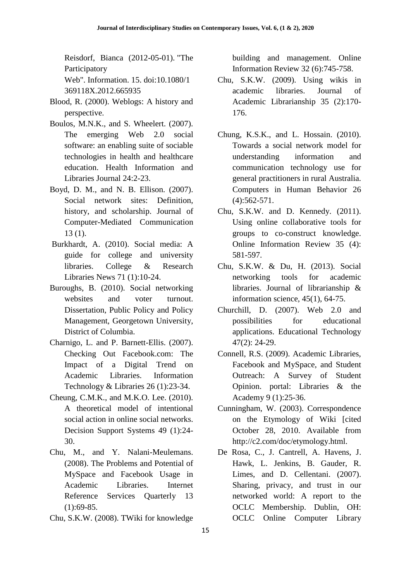Reisdorf, Bianca (2012-05-01). "The Participatory Web". Information. 15. doi:10.1080/1

369118X.2012.665935

- Blood, R. (2000). Weblogs: A history and perspective.
- Boulos, M.N.K., and S. Wheelert. (2007). The emerging Web 2.0 social software: an enabling suite of sociable technologies in health and healthcare education. Health Information and Libraries Journal 24:2-23.
- Boyd, D. M., and N. B. Ellison. (2007). Social network sites: Definition, history, and scholarship. Journal of Computer-Mediated Communication 13 (1).
- Burkhardt, A. (2010). Social media: A guide for college and university libraries. College & Research Libraries News 71 (1):10-24.
- Buroughs, B. (2010). Social networking websites and voter turnout. Dissertation, Public Policy and Policy Management, Georgetown University, District of Columbia.
- Charnigo, L. and P. Barnett-Ellis. (2007). Checking Out Facebook.com: The Impact of a Digital Trend on Academic Libraries. Information Technology & Libraries 26 (1):23-34.
- Cheung, C.M.K., and M.K.O. Lee. (2010). A theoretical model of intentional social action in online social networks. Decision Support Systems 49 (1):24- 30.
- Chu, M., and Y. Nalani-Meulemans. (2008). The Problems and Potential of MySpace and Facebook Usage in Academic Libraries. Internet Reference Services Quarterly 13  $(1):69-85.$
- Chu, S.K.W. (2008). TWiki for knowledge

building and management. Online Information Review 32 (6):745-758.

- Chu, S.K.W. (2009). Using wikis in academic libraries. Journal of Academic Librarianship 35 (2):170- 176.
- Chung, K.S.K., and L. Hossain. (2010). Towards a social network model for understanding information and communication technology use for general practitioners in rural Australia. Computers in Human Behavior 26 (4):562-571.
- Chu, S.K.W. and D. Kennedy. (2011). Using online collaborative tools for groups to co-construct knowledge. Online Information Review 35 (4): 581-597.
- Chu, S.K.W. & Du, H. (2013). Social networking tools for academic libraries. Journal of librarianship & information science, 45(1), 64-75.
- Churchill, D. (2007). Web 2.0 and possibilities for educational applications. Educational Technology 47(2): 24-29.
- Connell, R.S. (2009). Academic Libraries, Facebook and MySpace, and Student Outreach: A Survey of Student Opinion. portal: Libraries & the Academy 9 (1):25-36.
- Cunningham, W. (2003). Correspondence on the Etymology of Wiki [cited October 28, 2010. Available from http://c2.com/doc/etymology.html.
- De Rosa, C., J. Cantrell, A. Havens, J. Hawk, L. Jenkins, B. Gauder, R. Limes, and D. Cellentani. (2007). Sharing, privacy, and trust in our networked world: A report to the OCLC Membership. Dublin, OH: OCLC Online Computer Library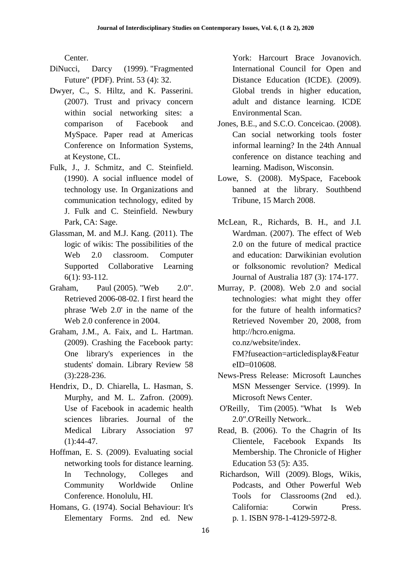Center.

- DiNucci, Darcy (1999). "Fragmented Future" (PDF). Print. 53 (4): 32.
- Dwyer, C., S. Hiltz, and K. Passerini. (2007). Trust and privacy concern within social networking sites: a comparison of Facebook and MySpace. Paper read at Americas Conference on Information Systems, at Keystone, CL.
- Fulk, J., J. Schmitz, and C. Steinfield. (1990). A social influence model of technology use. In Organizations and communication technology, edited by J. Fulk and C. Steinfield. Newbury Park, CA: Sage.
- Glassman, M. and M.J. Kang. (2011). The logic of wikis: The possibilities of the Web 2.0 classroom. Computer Supported Collaborative Learning 6(1): 93-112.
- Graham, Paul (2005). "Web 2.0". Retrieved 2006-08-02. I first heard the phrase 'Web 2.0' in the name of the Web 2.0 conference in 2004.
- Graham, J.M., A. Faix, and L. Hartman. (2009). Crashing the Facebook party: One library's experiences in the students' domain. Library Review 58 (3):228-236.
- Hendrix, D., D. Chiarella, L. Hasman, S. Murphy, and M. L. Zafron. (2009). Use of Facebook in academic health sciences libraries. Journal of the Medical Library Association 97  $(1):44-47.$
- Hoffman, E. S. (2009). Evaluating social networking tools for distance learning. In Technology, Colleges and Community Worldwide Online Conference. Honolulu, HI.
- Homans, G. (1974). Social Behaviour: It's Elementary Forms. 2nd ed. New

York: Harcourt Brace Jovanovich. International Council for Open and Distance Education (ICDE). (2009). Global trends in higher education, adult and distance learning. ICDE Environmental Scan.

- Jones, B.E., and S.C.O. Conceicao. (2008). Can social networking tools foster informal learning? In the 24th Annual conference on distance teaching and learning. Madison, Wisconsin.
- Lowe, S. (2008). MySpace, Facebook banned at the library. Southbend Tribune, 15 March 2008.
- McLean, R., Richards, B. H., and J.I. Wardman. (2007). The effect of Web 2.0 on the future of medical practice and education: Darwikinian evolution or folksonomic revolution? Medical Journal of Australia 187 (3): 174-177.
- Murray, P. (2008). Web 2.0 and social technologies: what might they offer for the future of health informatics? Retrieved November 20, 2008, from http://hcro.enigma.

co.nz/website/index.

FM?fuseaction=articledisplay&Featur  $eID = 010608$ .

- News-Press Release: Microsoft Launches MSN Messenger Service. (1999). In Microsoft News Center.
- O'Reilly, Tim (2005). "What Is Web 2.0".O'Reilly Network..
- Read, B. (2006). To the Chagrin of Its Clientele, Facebook Expands Its Membership. The Chronicle of Higher Education 53 (5): A35.
- Richardson, Will (2009). Blogs, Wikis, Podcasts, and Other Powerful Web Tools for Classrooms (2nd ed.). California: Corwin Press. p. 1. ISBN 978-1-4129-5972-8.